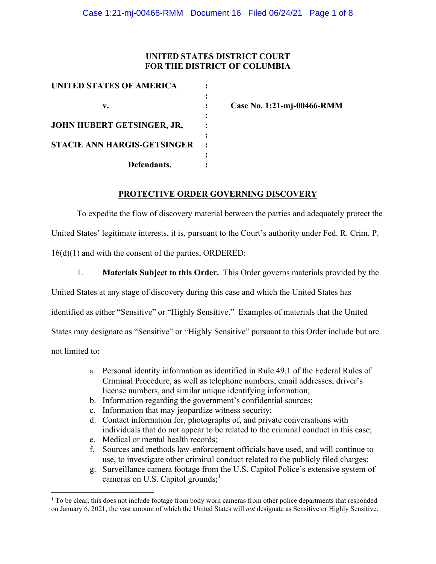### **UNITED STATES DISTRICT COURT FOR THE DISTRICT OF COLUMBIA**

| <b>UNITED STATES OF AMERICA</b>    |  |
|------------------------------------|--|
|                                    |  |
| v.                                 |  |
|                                    |  |
| JOHN HUBERT GETSINGER, JR,         |  |
|                                    |  |
| <b>STACIE ANN HARGIS-GETSINGER</b> |  |
|                                    |  |
| Defendants.                        |  |

**v. : Case No. 1:21-mj-00466-RMM**

#### **PROTECTIVE ORDER GOVERNING DISCOVERY**

To expedite the flow of discovery material between the parties and adequately protect the United States' legitimate interests, it is, pursuant to the Court's authority under Fed. R. Crim. P. 16(d)(1) and with the consent of the parties, ORDERED:

1. **Materials Subject to this Order.** This Order governs materials provided by the United States at any stage of discovery during this case and which the United States has identified as either "Sensitive" or "Highly Sensitive." Examples of materials that the United States may designate as "Sensitive" or "Highly Sensitive" pursuant to this Order include but are not limited to:

- a. Personal identity information as identified in Rule 49.1 of the Federal Rules of Criminal Procedure, as well as telephone numbers, email addresses, driver's license numbers, and similar unique identifying information;
- b. Information regarding the government's confidential sources;
- c. Information that may jeopardize witness security;
- d. Contact information for, photographs of, and private conversations with individuals that do not appear to be related to the criminal conduct in this case;
- e. Medical or mental health records;
- f. Sources and methods law-enforcement officials have used, and will continue to use, to investigate other criminal conduct related to the publicly filed charges;
- g. Surveillance camera footage from the U.S. Capitol Police's extensive system of cameras on U.S. Capitol grounds;<sup>1</sup>

<sup>&</sup>lt;sup>1</sup> To be clear, this does not include footage from body worn cameras from other police departments that responded on January 6, 2021, the vast amount of which the United States will *not* designate as Sensitive or Highly Sensitive.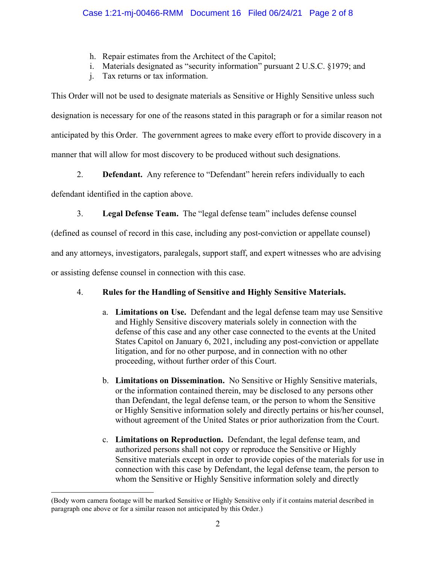- h. Repair estimates from the Architect of the Capitol;
- i. Materials designated as "security information" pursuant 2 U.S.C. §1979; and
- j. Tax returns or tax information.

This Order will not be used to designate materials as Sensitive or Highly Sensitive unless such designation is necessary for one of the reasons stated in this paragraph or for a similar reason not anticipated by this Order. The government agrees to make every effort to provide discovery in a manner that will allow for most discovery to be produced without such designations.

2. **Defendant.** Any reference to "Defendant" herein refers individually to each

defendant identified in the caption above.

3. **Legal Defense Team.** The "legal defense team" includes defense counsel

(defined as counsel of record in this case, including any post-conviction or appellate counsel)

and any attorneys, investigators, paralegals, support staff, and expert witnesses who are advising

or assisting defense counsel in connection with this case.

# 4. **Rules for the Handling of Sensitive and Highly Sensitive Materials.**

- a. **Limitations on Use.** Defendant and the legal defense team may use Sensitive and Highly Sensitive discovery materials solely in connection with the defense of this case and any other case connected to the events at the United States Capitol on January 6, 2021, including any post-conviction or appellate litigation, and for no other purpose, and in connection with no other proceeding, without further order of this Court.
- b. **Limitations on Dissemination.** No Sensitive or Highly Sensitive materials, or the information contained therein, may be disclosed to any persons other than Defendant, the legal defense team, or the person to whom the Sensitive or Highly Sensitive information solely and directly pertains or his/her counsel, without agreement of the United States or prior authorization from the Court.
- c. **Limitations on Reproduction.** Defendant, the legal defense team, and authorized persons shall not copy or reproduce the Sensitive or Highly Sensitive materials except in order to provide copies of the materials for use in connection with this case by Defendant, the legal defense team, the person to whom the Sensitive or Highly Sensitive information solely and directly

<sup>(</sup>Body worn camera footage will be marked Sensitive or Highly Sensitive only if it contains material described in paragraph one above or for a similar reason not anticipated by this Order.)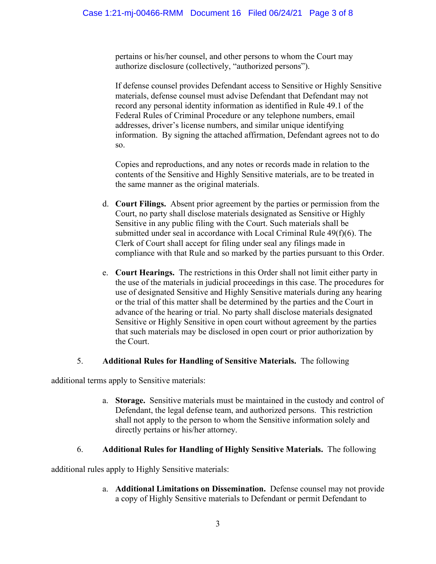pertains or his/her counsel, and other persons to whom the Court may authorize disclosure (collectively, "authorized persons").

If defense counsel provides Defendant access to Sensitive or Highly Sensitive materials, defense counsel must advise Defendant that Defendant may not record any personal identity information as identified in Rule 49.1 of the Federal Rules of Criminal Procedure or any telephone numbers, email addresses, driver's license numbers, and similar unique identifying information. By signing the attached affirmation, Defendant agrees not to do so.

Copies and reproductions, and any notes or records made in relation to the contents of the Sensitive and Highly Sensitive materials, are to be treated in the same manner as the original materials.

- d. **Court Filings.** Absent prior agreement by the parties or permission from the Court, no party shall disclose materials designated as Sensitive or Highly Sensitive in any public filing with the Court. Such materials shall be submitted under seal in accordance with Local Criminal Rule 49(f)(6). The Clerk of Court shall accept for filing under seal any filings made in compliance with that Rule and so marked by the parties pursuant to this Order.
- e. **Court Hearings.** The restrictions in this Order shall not limit either party in the use of the materials in judicial proceedings in this case. The procedures for use of designated Sensitive and Highly Sensitive materials during any hearing or the trial of this matter shall be determined by the parties and the Court in advance of the hearing or trial. No party shall disclose materials designated Sensitive or Highly Sensitive in open court without agreement by the parties that such materials may be disclosed in open court or prior authorization by the Court.

#### 5. **Additional Rules for Handling of Sensitive Materials.** The following

additional terms apply to Sensitive materials:

a. **Storage.** Sensitive materials must be maintained in the custody and control of Defendant, the legal defense team, and authorized persons. This restriction shall not apply to the person to whom the Sensitive information solely and directly pertains or his/her attorney.

## 6. **Additional Rules for Handling of Highly Sensitive Materials.** The following

additional rules apply to Highly Sensitive materials:

a. **Additional Limitations on Dissemination.** Defense counsel may not provide a copy of Highly Sensitive materials to Defendant or permit Defendant to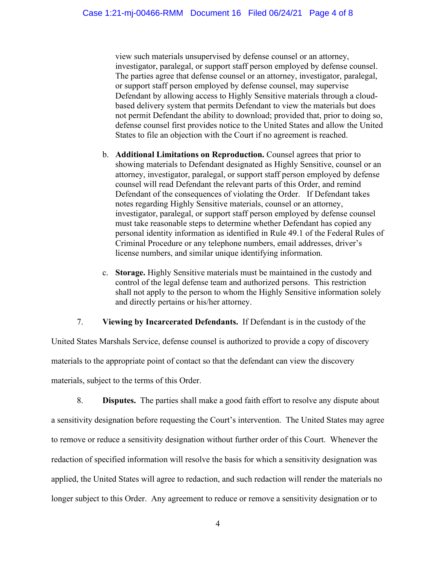view such materials unsupervised by defense counsel or an attorney, investigator, paralegal, or support staff person employed by defense counsel. The parties agree that defense counsel or an attorney, investigator, paralegal, or support staff person employed by defense counsel, may supervise Defendant by allowing access to Highly Sensitive materials through a cloudbased delivery system that permits Defendant to view the materials but does not permit Defendant the ability to download; provided that, prior to doing so, defense counsel first provides notice to the United States and allow the United States to file an objection with the Court if no agreement is reached.

- b. **Additional Limitations on Reproduction.** Counsel agrees that prior to showing materials to Defendant designated as Highly Sensitive, counsel or an attorney, investigator, paralegal, or support staff person employed by defense counsel will read Defendant the relevant parts of this Order, and remind Defendant of the consequences of violating the Order. If Defendant takes notes regarding Highly Sensitive materials, counsel or an attorney, investigator, paralegal, or support staff person employed by defense counsel must take reasonable steps to determine whether Defendant has copied any personal identity information as identified in Rule 49.1 of the Federal Rules of Criminal Procedure or any telephone numbers, email addresses, driver's license numbers, and similar unique identifying information.
- c. **Storage.** Highly Sensitive materials must be maintained in the custody and control of the legal defense team and authorized persons. This restriction shall not apply to the person to whom the Highly Sensitive information solely and directly pertains or his/her attorney.

## 7. **Viewing by Incarcerated Defendants.** If Defendant is in the custody of the

United States Marshals Service, defense counsel is authorized to provide a copy of discovery materials to the appropriate point of contact so that the defendant can view the discovery materials, subject to the terms of this Order.

8. **Disputes.** The parties shall make a good faith effort to resolve any dispute about a sensitivity designation before requesting the Court's intervention. The United States may agree to remove or reduce a sensitivity designation without further order of this Court. Whenever the redaction of specified information will resolve the basis for which a sensitivity designation was applied, the United States will agree to redaction, and such redaction will render the materials no longer subject to this Order. Any agreement to reduce or remove a sensitivity designation or to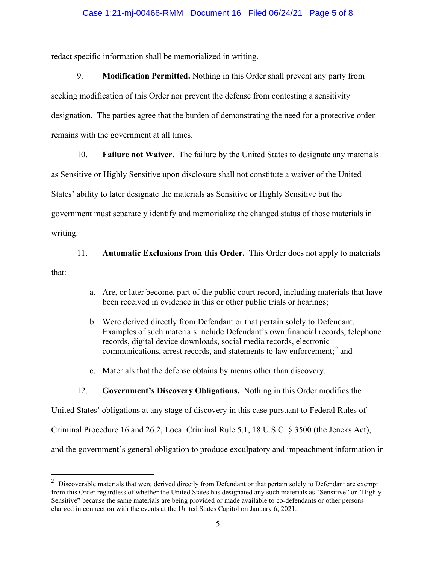#### Case 1:21-mj-00466-RMM Document 16 Filed 06/24/21 Page 5 of 8

redact specific information shall be memorialized in writing.

9. **Modification Permitted.** Nothing in this Order shall prevent any party from seeking modification of this Order nor prevent the defense from contesting a sensitivity designation. The parties agree that the burden of demonstrating the need for a protective order remains with the government at all times.

10. **Failure not Waiver.** The failure by the United States to designate any materials

as Sensitive or Highly Sensitive upon disclosure shall not constitute a waiver of the United

States' ability to later designate the materials as Sensitive or Highly Sensitive but the

government must separately identify and memorialize the changed status of those materials in

writing.

11. **Automatic Exclusions from this Order.** This Order does not apply to materials

that:

- a. Are, or later become, part of the public court record, including materials that have been received in evidence in this or other public trials or hearings;
- b. Were derived directly from Defendant or that pertain solely to Defendant. Examples of such materials include Defendant's own financial records, telephone records, digital device downloads, social media records, electronic communications, arrest records, and statements to law enforcement; <sup>2</sup> and
- c. Materials that the defense obtains by means other than discovery.

#### 12. **Government's Discovery Obligations.** Nothing in this Order modifies the

United States' obligations at any stage of discovery in this case pursuant to Federal Rules of Criminal Procedure 16 and 26.2, Local Criminal Rule 5.1, 18 U.S.C. § 3500 (the Jencks Act), and the government's general obligation to produce exculpatory and impeachment information in

 $2$  Discoverable materials that were derived directly from Defendant or that pertain solely to Defendant are exempt from this Order regardless of whether the United States has designated any such materials as "Sensitive" or "Highly Sensitive" because the same materials are being provided or made available to co-defendants or other persons charged in connection with the events at the United States Capitol on January 6, 2021.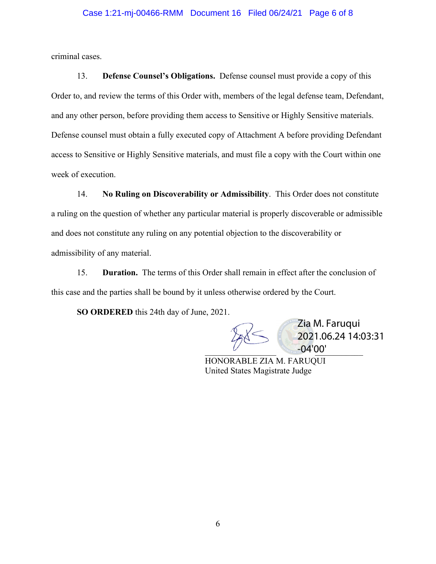#### Case 1:21-mj-00466-RMM Document 16 Filed 06/24/21 Page 6 of 8

criminal cases.

13. **Defense Counsel's Obligations.** Defense counsel must provide a copy of this Order to, and review the terms of this Order with, members of the legal defense team, Defendant, and any other person, before providing them access to Sensitive or Highly Sensitive materials. Defense counsel must obtain a fully executed copy of Attachment A before providing Defendant access to Sensitive or Highly Sensitive materials, and must file a copy with the Court within one week of execution.

14. **No Ruling on Discoverability or Admissibility**. This Order does not constitute a ruling on the question of whether any particular material is properly discoverable or admissible and does not constitute any ruling on any potential objection to the discoverability or admissibility of any material.

15. **Duration.** The terms of this Order shall remain in effect after the conclusion of this case and the parties shall be bound by it unless otherwise ordered by the Court.

**SO ORDERED** this 24th day of June, 2021.

 $\overline{\phantom{a}}$   $\overline{\phantom{a}}$   $\overline{\phantom{a}}$   $\overline{\phantom{a}}$   $\overline{\phantom{a}}$   $\overline{\phantom{a}}$   $\overline{\phantom{a}}$   $\overline{\phantom{a}}$   $\overline{\phantom{a}}$   $\overline{\phantom{a}}$   $\overline{\phantom{a}}$   $\overline{\phantom{a}}$   $\overline{\phantom{a}}$   $\overline{\phantom{a}}$   $\overline{\phantom{a}}$   $\overline{\phantom{a}}$   $\overline{\phantom{a}}$   $\overline{\phantom{a}}$   $\overline{\$ Zia M. Faruqui 2021.06.24 14:03:31 -04'00'

HONORABLE ZIA M. FARUQUI United States Magistrate Judge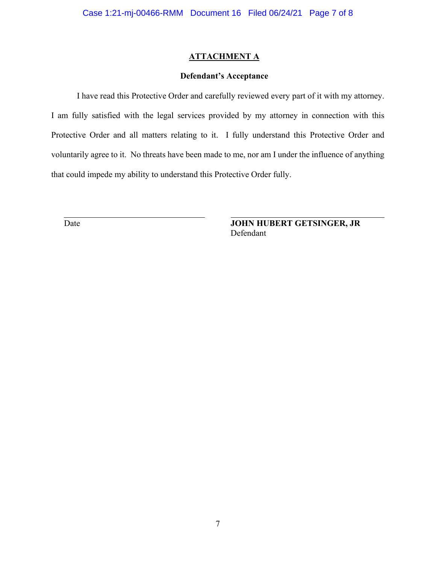### **ATTACHMENT A**

#### **Defendant's Acceptance**

I have read this Protective Order and carefully reviewed every part of it with my attorney. I am fully satisfied with the legal services provided by my attorney in connection with this Protective Order and all matters relating to it. I fully understand this Protective Order and voluntarily agree to it. No threats have been made to me, nor am I under the influence of anything that could impede my ability to understand this Protective Order fully.

Date **JOHN HUBERT GETSINGER, JR** Defendant